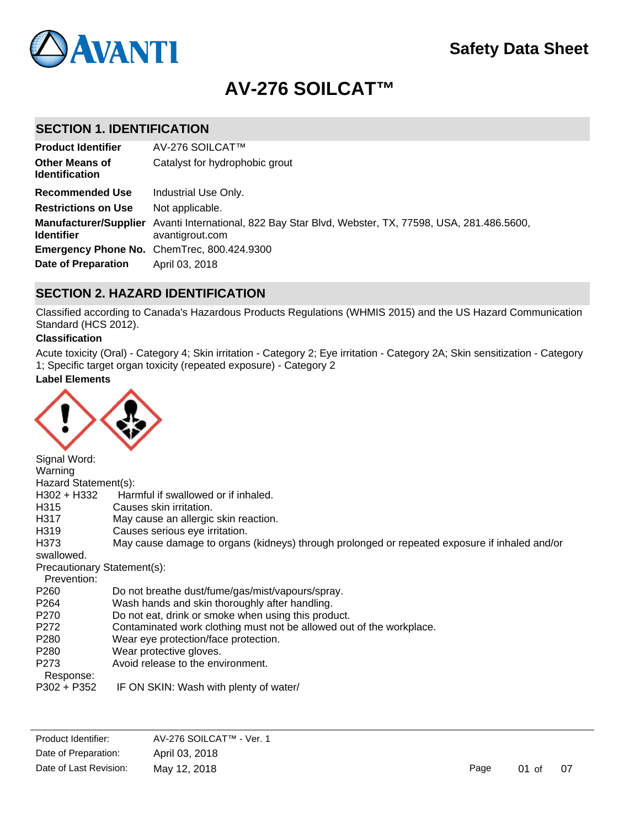

# **AV-276 SOILCAT™**

## **SECTION 1. IDENTIFICATION**

| <b>Product Identifier</b>                      | AV-276 SOILCAT™                                                                                                          |
|------------------------------------------------|--------------------------------------------------------------------------------------------------------------------------|
| <b>Other Means of</b><br><b>Identification</b> | Catalyst for hydrophobic grout                                                                                           |
| Recommended Use                                | Industrial Use Only.                                                                                                     |
| <b>Restrictions on Use</b>                     | Not applicable.                                                                                                          |
| <b>Identifier</b>                              | Manufacturer/Supplier Avanti International, 822 Bay Star Blvd, Webster, TX, 77598, USA, 281.486.5600,<br>avantigrout.com |
|                                                | Emergency Phone No. ChemTrec, 800.424.9300                                                                               |
| Date of Preparation                            | April 03, 2018                                                                                                           |

# **SECTION 2. HAZARD IDENTIFICATION**

Classified according to Canada's Hazardous Products Regulations (WHMIS 2015) and the US Hazard Communication Standard (HCS 2012).

### **Classification**

Acute toxicity (Oral) - Category 4; Skin irritation - Category 2; Eye irritation - Category 2A; Skin sensitization - Category 1; Specific target organ toxicity (repeated exposure) - Category 2

### **Label Elements**



Signal Word: Warning Hazard Statement(s): H302 + H332 Harmful if swallowed or if inhaled. H315 Causes skin irritation. H317 May cause an allergic skin reaction. H319 Causes serious eye irritation. H373 May cause damage to organs (kidneys) through prolonged or repeated exposure if inhaled and/or swallowed. Precautionary Statement(s): Prevention: P260 Do not breathe dust/fume/gas/mist/vapours/spray.<br>P264 Wash hands and skin thoroughly after handling. Wash hands and skin thoroughly after handling. P270 Do not eat, drink or smoke when using this product. P272 Contaminated work clothing must not be allowed out of the workplace. P280 Wear eye protection/face protection. P280 Wear protective gloves. P273 Avoid release to the environment. Response: P302 + P352 IF ON SKIN: Wash with plenty of water/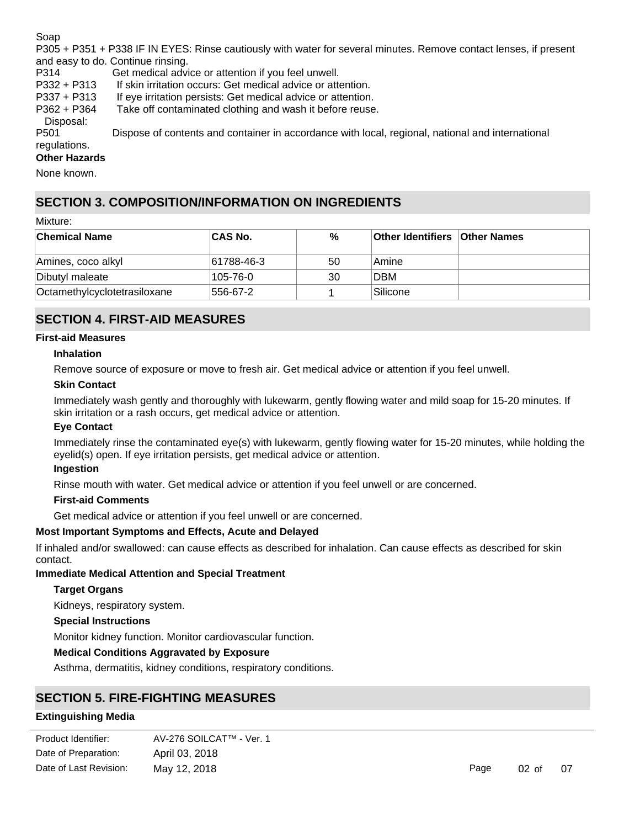Soap

P305 + P351 + P338 IF IN EYES: Rinse cautiously with water for several minutes. Remove contact lenses, if present and easy to do. Continue rinsing.

P314 Get medical advice or attention if you feel unwell.

P332 + P313 If skin irritation occurs: Get medical advice or attention.

P337 + P313 If eye irritation persists: Get medical advice or attention.

P362 + P364 Take off contaminated clothing and wash it before reuse.

Disposal:

P501 Dispose of contents and container in accordance with local, regional, national and international regulations.

### **Other Hazards**

None known.

# **SECTION 3. COMPOSITION/INFORMATION ON INGREDIENTS**

Mixture:

| <b>Chemical Name</b>         | <b>CAS No.</b> | %  | <b>Other Identifiers Other Names</b> |  |
|------------------------------|----------------|----|--------------------------------------|--|
| Amines, coco alkyl           | 61788-46-3     | 50 | Amine                                |  |
| Dibutyl maleate              | 105-76-0       | 30 | <b>DBM</b>                           |  |
| Octamethylcyclotetrasiloxane | 556-67-2       |    | <b>Silicone</b>                      |  |

# **SECTION 4. FIRST-AID MEASURES**

#### **First-aid Measures**

### **Inhalation**

Remove source of exposure or move to fresh air. Get medical advice or attention if you feel unwell.

### **Skin Contact**

Immediately wash gently and thoroughly with lukewarm, gently flowing water and mild soap for 15-20 minutes. If skin irritation or a rash occurs, get medical advice or attention.

### **Eye Contact**

Immediately rinse the contaminated eye(s) with lukewarm, gently flowing water for 15-20 minutes, while holding the eyelid(s) open. If eye irritation persists, get medical advice or attention.

#### **Ingestion**

Rinse mouth with water. Get medical advice or attention if you feel unwell or are concerned.

### **First-aid Comments**

Get medical advice or attention if you feel unwell or are concerned.

### **Most Important Symptoms and Effects, Acute and Delayed**

If inhaled and/or swallowed: can cause effects as described for inhalation. Can cause effects as described for skin contact.

### **Immediate Medical Attention and Special Treatment**

### **Target Organs**

Kidneys, respiratory system.

#### **Special Instructions**

Monitor kidney function. Monitor cardiovascular function.

### **Medical Conditions Aggravated by Exposure**

Asthma, dermatitis, kidney conditions, respiratory conditions.

# **SECTION 5. FIRE-FIGHTING MEASURES**

#### **Extinguishing Media**

| Product Identifier:    | AV-276 SOILCAT™ - Ver. 1 |
|------------------------|--------------------------|
| Date of Preparation:   | April 03, 2018           |
| Date of Last Revision: | May 12, 2018             |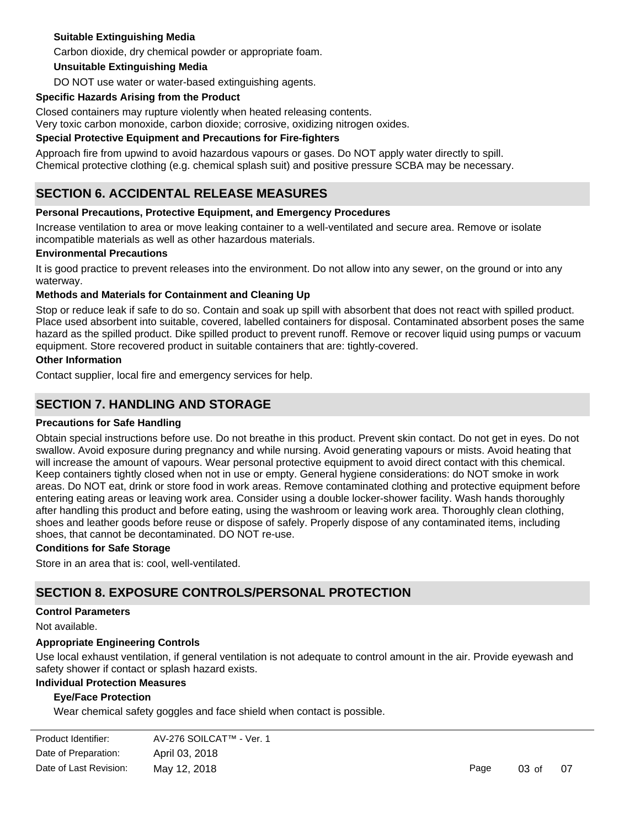### **Suitable Extinguishing Media**

Carbon dioxide, dry chemical powder or appropriate foam.

### **Unsuitable Extinguishing Media**

DO NOT use water or water-based extinguishing agents.

### **Specific Hazards Arising from the Product**

Closed containers may rupture violently when heated releasing contents.

Very toxic carbon monoxide, carbon dioxide; corrosive, oxidizing nitrogen oxides.

### **Special Protective Equipment and Precautions for Fire-fighters**

Approach fire from upwind to avoid hazardous vapours or gases. Do NOT apply water directly to spill. Chemical protective clothing (e.g. chemical splash suit) and positive pressure SCBA may be necessary.

# **SECTION 6. ACCIDENTAL RELEASE MEASURES**

### **Personal Precautions, Protective Equipment, and Emergency Procedures**

Increase ventilation to area or move leaking container to a well-ventilated and secure area. Remove or isolate incompatible materials as well as other hazardous materials.

#### **Environmental Precautions**

It is good practice to prevent releases into the environment. Do not allow into any sewer, on the ground or into any waterway.

### **Methods and Materials for Containment and Cleaning Up**

Stop or reduce leak if safe to do so. Contain and soak up spill with absorbent that does not react with spilled product. Place used absorbent into suitable, covered, labelled containers for disposal. Contaminated absorbent poses the same hazard as the spilled product. Dike spilled product to prevent runoff. Remove or recover liquid using pumps or vacuum equipment. Store recovered product in suitable containers that are: tightly-covered.

### **Other Information**

Contact supplier, local fire and emergency services for help.

## **SECTION 7. HANDLING AND STORAGE**

#### **Precautions for Safe Handling**

Obtain special instructions before use. Do not breathe in this product. Prevent skin contact. Do not get in eyes. Do not swallow. Avoid exposure during pregnancy and while nursing. Avoid generating vapours or mists. Avoid heating that will increase the amount of vapours. Wear personal protective equipment to avoid direct contact with this chemical. Keep containers tightly closed when not in use or empty. General hygiene considerations: do NOT smoke in work areas. Do NOT eat, drink or store food in work areas. Remove contaminated clothing and protective equipment before entering eating areas or leaving work area. Consider using a double locker-shower facility. Wash hands thoroughly after handling this product and before eating, using the washroom or leaving work area. Thoroughly clean clothing, shoes and leather goods before reuse or dispose of safely. Properly dispose of any contaminated items, including shoes, that cannot be decontaminated. DO NOT re-use.

#### **Conditions for Safe Storage**

Store in an area that is: cool, well-ventilated.

# **SECTION 8. EXPOSURE CONTROLS/PERSONAL PROTECTION**

### **Control Parameters**

Not available.

#### **Appropriate Engineering Controls**

Use local exhaust ventilation, if general ventilation is not adequate to control amount in the air. Provide eyewash and safety shower if contact or splash hazard exists.

### **Individual Protection Measures**

### **Eye/Face Protection**

**Skin Protection**

Wear chemical safety goggles and face shield when contact is possible.

| Product Identifier:    | AV-276 SOILCAT™ - Ver. 1 |
|------------------------|--------------------------|
| Date of Preparation:   | April 03, 2018           |
| Date of Last Revision: | May 12, 2018             |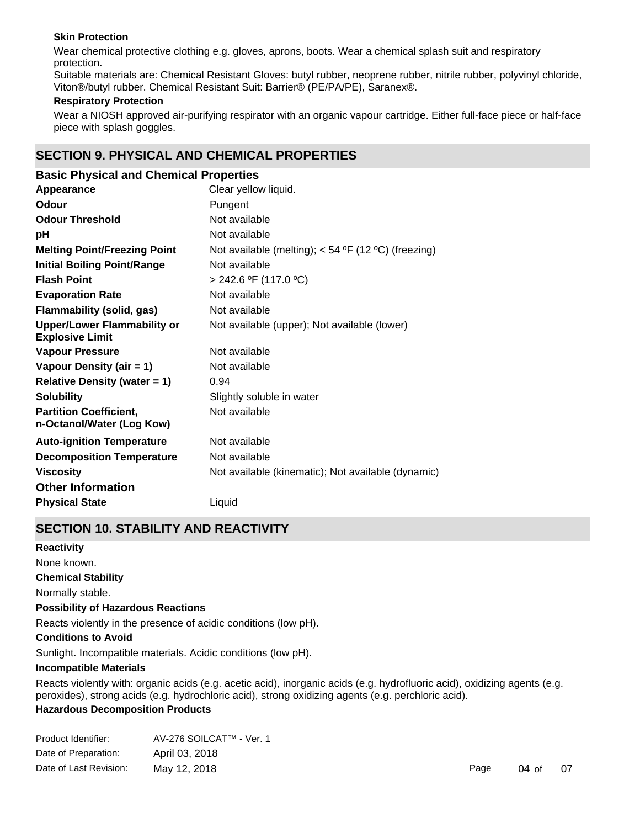### **Skin Protection**

Wear chemical protective clothing e.g. gloves, aprons, boots. Wear a chemical splash suit and respiratory protection.

Suitable materials are: Chemical Resistant Gloves: butyl rubber, neoprene rubber, nitrile rubber, polyvinyl chloride, Viton®/butyl rubber. Chemical Resistant Suit: Barrier® (PE/PA/PE), Saranex®.

### **Respiratory Protection**

Wear a NIOSH approved air-purifying respirator with an organic vapour cartridge. Either full-face piece or half-face piece with splash goggles.

# **SECTION 9. PHYSICAL AND CHEMICAL PROPERTIES**

| <b>Basic Physical and Chemical Properties</b>                |                                                       |
|--------------------------------------------------------------|-------------------------------------------------------|
| Appearance                                                   | Clear yellow liquid.                                  |
| Odour                                                        | Pungent                                               |
| <b>Odour Threshold</b>                                       | Not available                                         |
| рH                                                           | Not available                                         |
| <b>Melting Point/Freezing Point</b>                          | Not available (melting); $<$ 54 °F (12 °C) (freezing) |
| <b>Initial Boiling Point/Range</b>                           | Not available                                         |
| <b>Flash Point</b>                                           | $> 242.6$ °F (117.0 °C)                               |
| <b>Evaporation Rate</b>                                      | Not available                                         |
| Flammability (solid, gas)                                    | Not available                                         |
| <b>Upper/Lower Flammability or</b><br><b>Explosive Limit</b> | Not available (upper); Not available (lower)          |
| <b>Vapour Pressure</b>                                       | Not available                                         |
| Vapour Density (air = 1)                                     | Not available                                         |
| <b>Relative Density (water = 1)</b>                          | 0.94                                                  |
| <b>Solubility</b>                                            | Slightly soluble in water                             |
| <b>Partition Coefficient,</b><br>n-Octanol/Water (Log Kow)   | Not available                                         |
| <b>Auto-ignition Temperature</b>                             | Not available                                         |
| <b>Decomposition Temperature</b>                             | Not available                                         |
| <b>Viscosity</b>                                             | Not available (kinematic); Not available (dynamic)    |
| <b>Other Information</b>                                     |                                                       |
| <b>Physical State</b>                                        | Liquid                                                |

# **SECTION 10. STABILITY AND REACTIVITY**

**Chemical Stability** Normally stable. **Conditions to Avoid** Sunlight. Incompatible materials. Acidic conditions (low pH). **Incompatible Materials** Reacts violently with: organic acids (e.g. acetic acid), inorganic acids (e.g. hydrofluoric acid), oxidizing agents (e.g. **Possibility of Hazardous Reactions** Reacts violently in the presence of acidic conditions (low pH). **Reactivity** None known.

peroxides), strong acids (e.g. hydrochloric acid), strong oxidizing agents (e.g. perchloric acid).

# **Hazardous Decomposition Products**

| Product Identifier:    | AV-276 SOILCAT™ - Ver. 1 |
|------------------------|--------------------------|
| Date of Preparation:   | April 03, 2018           |
| Date of Last Revision: | May 12, 2018             |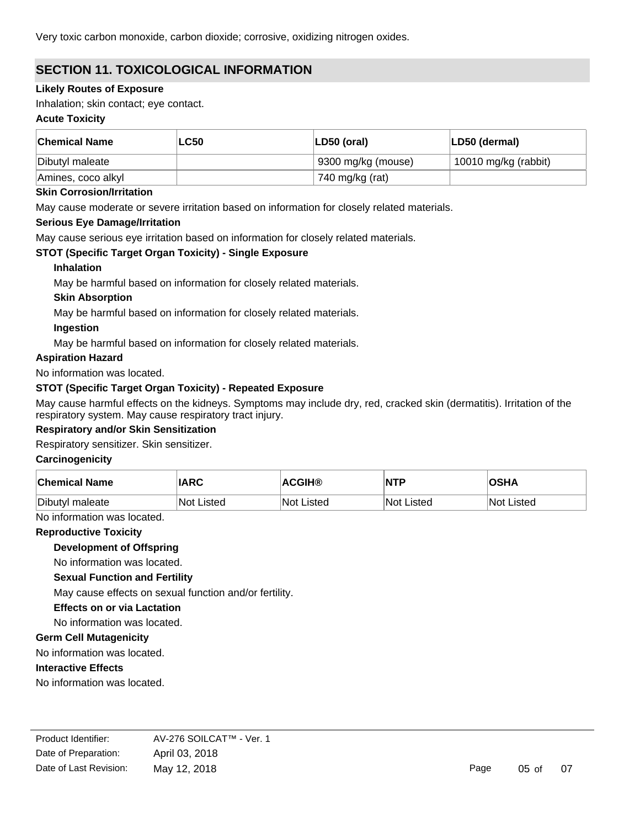Very toxic carbon monoxide, carbon dioxide; corrosive, oxidizing nitrogen oxides.

# **SECTION 11. TOXICOLOGICAL INFORMATION**

### **Likely Routes of Exposure**

Inhalation; skin contact; eye contact.

### **Acute Toxicity**

| <b>Chemical Name</b> | <b>LC50</b> | LD50 (oral)        | LD50 (dermal)        |
|----------------------|-------------|--------------------|----------------------|
| Dibutyl maleate      |             | 9300 mg/kg (mouse) | 10010 mg/kg (rabbit) |
| Amines, coco alkyl   |             | 740 mg/kg (rat)    |                      |

### **Skin Corrosion/Irritation**

May cause moderate or severe irritation based on information for closely related materials.

### **Serious Eye Damage/Irritation**

May cause serious eye irritation based on information for closely related materials.

### **STOT (Specific Target Organ Toxicity) - Single Exposure**

### **Inhalation**

May be harmful based on information for closely related materials.

### **Skin Absorption**

May be harmful based on information for closely related materials.

### **Ingestion**

May be harmful based on information for closely related materials.

### **Aspiration Hazard**

No information was located.

### **STOT (Specific Target Organ Toxicity) - Repeated Exposure**

May cause harmful effects on the kidneys. Symptoms may include dry, red, cracked skin (dermatitis). Irritation of the respiratory system. May cause respiratory tract injury.

## **Respiratory and/or Skin Sensitization**

### Respiratory sensitizer. Skin sensitizer.

### **Carcinogenicity**

| <b>Chemical Name</b> | <b>IARC</b> | <b>ACGIH®</b> | <b>NTP</b> | <b>OSHA</b>       |
|----------------------|-------------|---------------|------------|-------------------|
| Dibutyl maleate      | ∣Not Listed | lNot Listed   | Not Listed | <b>Not Listed</b> |

No information was located.

### **Reproductive Toxicity**

**Development of Offspring**

No information was located.

### **Sexual Function and Fertility**

May cause effects on sexual function and/or fertility.

### **Effects on or via Lactation**

No information was located.

### **Germ Cell Mutagenicity**

No information was located.

### **Interactive Effects**

No information was located.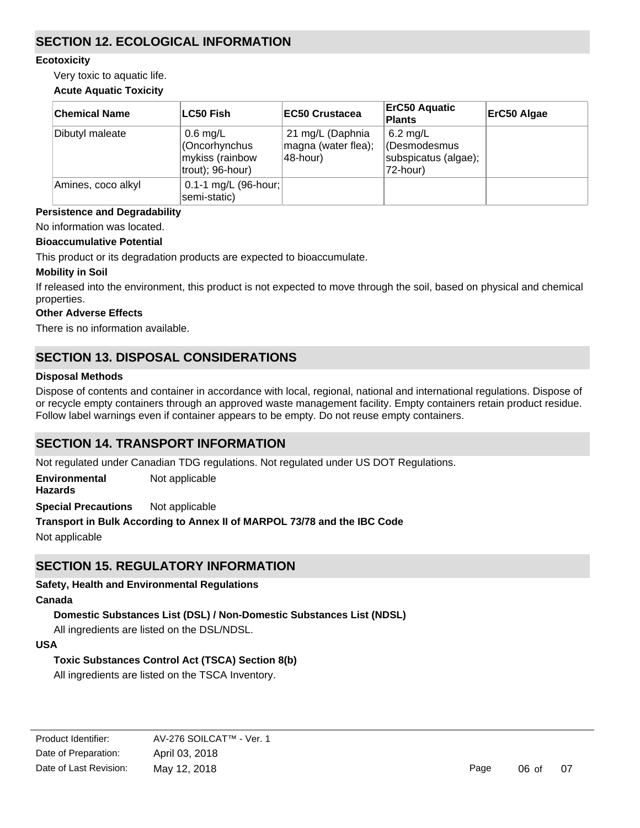# **SECTION 12. ECOLOGICAL INFORMATION**

### **Ecotoxicity**

Very toxic to aquatic life.

### **Acute Aquatic Toxicity**

| <b>Chemical Name</b> | <b>LC50 Fish</b>                                                  | <b>EC50 Crustacea</b>                               | <b>ErC50 Aquatic</b><br><b>Plants</b>                          | ErC50 Algae |
|----------------------|-------------------------------------------------------------------|-----------------------------------------------------|----------------------------------------------------------------|-------------|
| Dibutyl maleate      | $0.6$ mg/L<br>Cncorhynchus<br>mykiss (rainbow<br>trout); 96-hour) | 21 mg/L (Daphnia<br>magna (water flea);<br>48-hour) | $6.2$ mg/L<br>(Desmodesmus<br>subspicatus (algae);<br>72-hour) |             |
| Amines, coco alkyl   | 0.1-1 mg/L $(96$ -hour;<br>semi-static)                           |                                                     |                                                                |             |

### **Persistence and Degradability**

No information was located.

## **Bioaccumulative Potential**

This product or its degradation products are expected to bioaccumulate.

### **Mobility in Soil**

If released into the environment, this product is not expected to move through the soil, based on physical and chemical properties.

### **Other Adverse Effects**

There is no information available.

# **SECTION 13. DISPOSAL CONSIDERATIONS**

### **Disposal Methods**

Dispose of contents and container in accordance with local, regional, national and international regulations. Dispose of or recycle empty containers through an approved waste management facility. Empty containers retain product residue. Follow label warnings even if container appears to be empty. Do not reuse empty containers.

# **SECTION 14. TRANSPORT INFORMATION**

Not regulated under Canadian TDG regulations. Not regulated under US DOT Regulations.

**Environmental Hazards** Not applicable

**Special Precautions** Not applicable

**Transport in Bulk According to Annex II of MARPOL 73/78 and the IBC Code** Not applicable

# **SECTION 15. REGULATORY INFORMATION**

## **Safety, Health and Environmental Regulations**

## **Canada**

## **Domestic Substances List (DSL) / Non-Domestic Substances List (NDSL)**

All ingredients are listed on the DSL/NDSL.

# **USA**

## **Toxic Substances Control Act (TSCA) Section 8(b)**

All ingredients are listed on the TSCA Inventory.